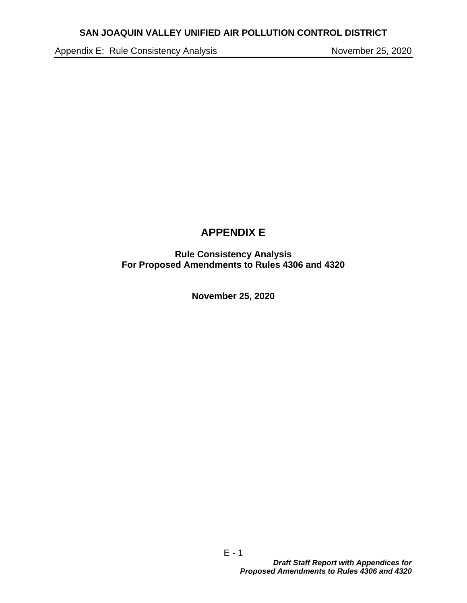# **APPENDIX E**

**Rule Consistency Analysis For Proposed Amendments to Rules 4306 and 4320**

**November 25, 2020**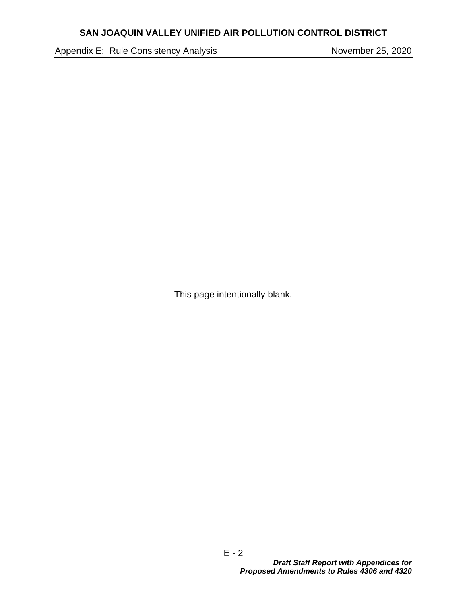## **SAN JOAQUIN VALLEY UNIFIED AIR POLLUTION CONTROL DISTRICT**

Appendix E: Rule Consistency Analysis November 25, 2020

This page intentionally blank.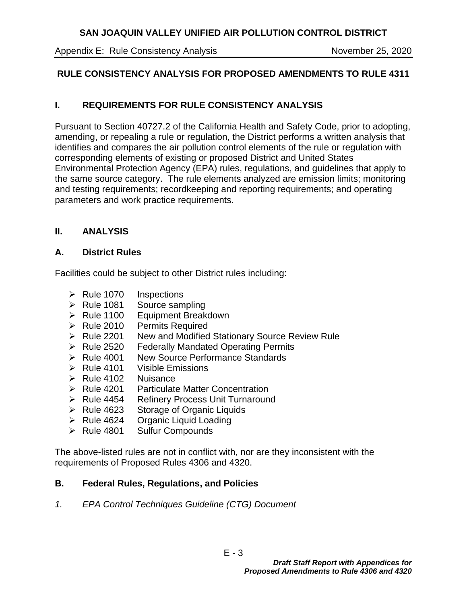## **SAN JOAQUIN VALLEY UNIFIED AIR POLLUTION CONTROL DISTRICT**

Appendix E: Rule Consistency Analysis November 25, 2020

## **RULE CONSISTENCY ANALYSIS FOR PROPOSED AMENDMENTS TO RULE 4311**

### **I. REQUIREMENTS FOR RULE CONSISTENCY ANALYSIS**

Pursuant to Section 40727.2 of the California Health and Safety Code, prior to adopting, amending, or repealing a rule or regulation, the District performs a written analysis that identifies and compares the air pollution control elements of the rule or regulation with corresponding elements of existing or proposed District and United States Environmental Protection Agency (EPA) rules, regulations, and guidelines that apply to the same source category. The rule elements analyzed are emission limits; monitoring and testing requirements; recordkeeping and reporting requirements; and operating parameters and work practice requirements.

#### **II. ANALYSIS**

#### **A. District Rules**

Facilities could be subject to other District rules including:

- $\triangleright$  Rule 1070 Inspections
- $\triangleright$  Rule 1081 Source sampling
- ▶ Rule 1100 Equipment Breakdown
- ▶ Rule 2010 Permits Required
- ▶ Rule 2201 New and Modified Stationary Source Review Rule
- $\triangleright$  Rule 2520 Federally Mandated Operating Permits
- ▶ Rule 4001 New Source Performance Standards
- $\triangleright$  Rule 4101 Visible Emissions
- Rule 4102 Nuisance<br>  $\triangleright$  Rule 4201 Particulate
- Particulate Matter Concentration
- ▶ Rule 4454 Refinery Process Unit Turnaround
- $\triangleright$  Rule 4623 Storage of Organic Liquids
- $\triangleright$  Rule 4624 Organic Liquid Loading
- ▶ Rule 4801 Sulfur Compounds

The above-listed rules are not in conflict with, nor are they inconsistent with the requirements of Proposed Rules 4306 and 4320.

#### **B. Federal Rules, Regulations, and Policies**

*1. EPA Control Techniques Guideline (CTG) Document*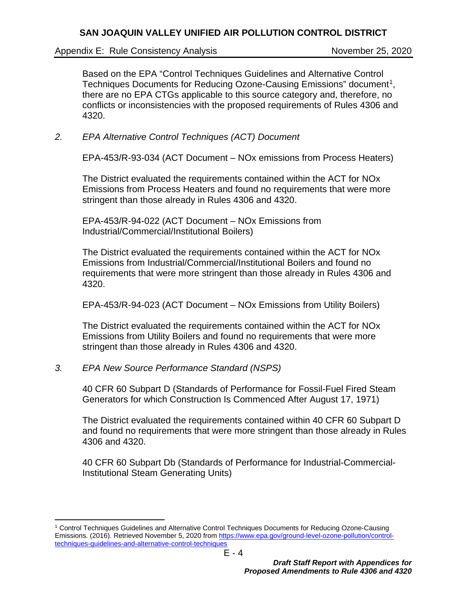Based on the EPA "Control Techniques Guidelines and Alternative Control Techniques Documents for Reducing Ozone-Causing Emissions" document<sup>[1](#page-3-0)</sup>, there are no EPA CTGs applicable to this source category and, therefore, no conflicts or inconsistencies with the proposed requirements of Rules 4306 and 4320.

*2. EPA Alternative Control Techniques (ACT) Document*

EPA-453/R-93-034 (ACT Document – NOx emissions from Process Heaters)

The District evaluated the requirements contained within the ACT for NOx Emissions from Process Heaters and found no requirements that were more stringent than those already in Rules 4306 and 4320.

EPA-453/R-94-022 (ACT Document – NOx Emissions from Industrial/Commercial/Institutional Boilers)

The District evaluated the requirements contained within the ACT for NOx Emissions from Industrial/Commercial/Institutional Boilers and found no requirements that were more stringent than those already in Rules 4306 and 4320.

EPA-453/R-94-023 (ACT Document – NOx Emissions from Utility Boilers)

The District evaluated the requirements contained within the ACT for NOx Emissions from Utility Boilers and found no requirements that were more stringent than those already in Rules 4306 and 4320.

*3. EPA New Source Performance Standard (NSPS)*

40 CFR 60 Subpart D (Standards of Performance for Fossil-Fuel Fired Steam Generators for which Construction Is Commenced After August 17, 1971)

The District evaluated the requirements contained within 40 CFR 60 Subpart D and found no requirements that were more stringent than those already in Rules 4306 and 4320.

40 CFR 60 Subpart Db (Standards of Performance for Industrial-Commercial-Institutional Steam Generating Units)

<span id="page-3-0"></span> <sup>1</sup> Control Techniques Guidelines and Alternative Control Techniques Documents for Reducing Ozone-Causing Emissions. (2016). Retrieved November 5, 2020 from [https://www.epa.gov/ground-level-ozone-pollution/control](https://www.epa.gov/ground-level-ozone-pollution/control-techniques-guidelines-and-alternative-control-techniques)[techniques-guidelines-and-alternative-control-techniques](https://www.epa.gov/ground-level-ozone-pollution/control-techniques-guidelines-and-alternative-control-techniques)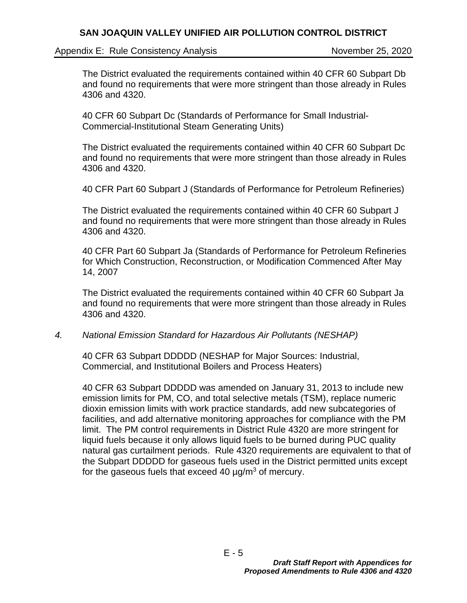The District evaluated the requirements contained within 40 CFR 60 Subpart Db and found no requirements that were more stringent than those already in Rules 4306 and 4320.

40 CFR 60 Subpart Dc (Standards of Performance for Small Industrial-Commercial-Institutional Steam Generating Units)

The District evaluated the requirements contained within 40 CFR 60 Subpart Dc and found no requirements that were more stringent than those already in Rules 4306 and 4320.

40 CFR Part 60 Subpart J (Standards of Performance for Petroleum Refineries)

The District evaluated the requirements contained within 40 CFR 60 Subpart J and found no requirements that were more stringent than those already in Rules 4306 and 4320.

40 CFR Part 60 Subpart Ja (Standards of Performance for Petroleum Refineries for Which Construction, Reconstruction, or Modification Commenced After May 14, 2007

The District evaluated the requirements contained within 40 CFR 60 Subpart Ja and found no requirements that were more stringent than those already in Rules 4306 and 4320.

*4. National Emission Standard for Hazardous Air Pollutants (NESHAP)*

40 CFR 63 Subpart DDDDD (NESHAP for Major Sources: Industrial, Commercial, and Institutional Boilers and Process Heaters)

40 CFR 63 Subpart DDDDD was amended on January 31, 2013 to include new emission limits for PM, CO, and total selective metals (TSM), replace numeric dioxin emission limits with work practice standards, add new subcategories of facilities, and add alternative monitoring approaches for compliance with the PM limit. The PM control requirements in District Rule 4320 are more stringent for liquid fuels because it only allows liquid fuels to be burned during PUC quality natural gas curtailment periods. Rule 4320 requirements are equivalent to that of the Subpart DDDDD for gaseous fuels used in the District permitted units except for the gaseous fuels that exceed 40  $\mu$ g/m<sup>3</sup> of mercury.